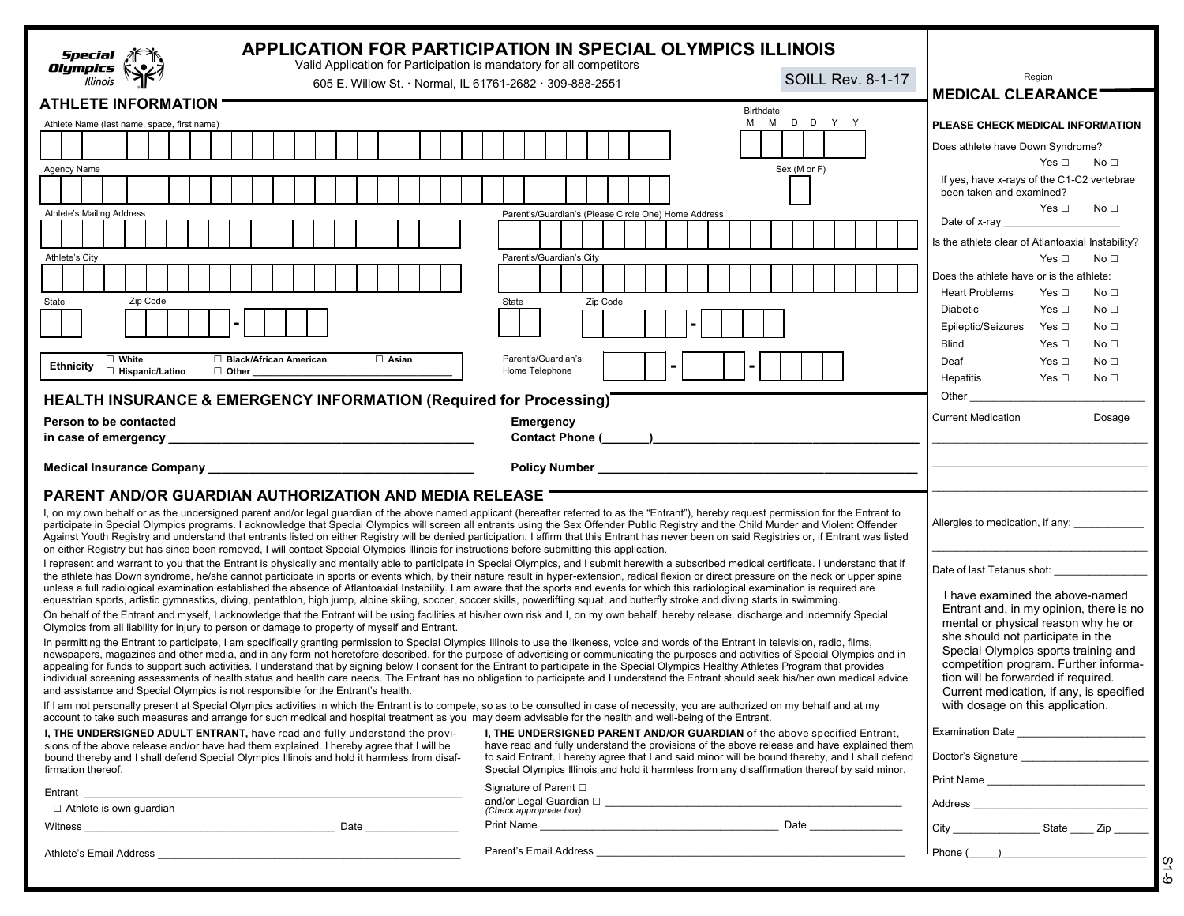| Special<br>Olympics<br>Illinois                                                                                                                                                                                                                                                                                                                                                                                                                                                                                                                                                                                                                                                                                                                                                                              | Valid Application for Participation is mandatory for all competitors<br>605 E. Willow St. Normal, IL 61761-2682 · 309-888-2551                                                                                                                                         | <b>APPLICATION FOR PARTICIPATION IN SPECIAL OLYMPICS ILLINOIS</b>                                                                                                                                                                                                                                                                                                                                                                                                                                                                                                                                                                                                                                                                                                                     | <b>SOILL Rev. 8-1-17</b> | Region                                                                                                                                                                                                |
|--------------------------------------------------------------------------------------------------------------------------------------------------------------------------------------------------------------------------------------------------------------------------------------------------------------------------------------------------------------------------------------------------------------------------------------------------------------------------------------------------------------------------------------------------------------------------------------------------------------------------------------------------------------------------------------------------------------------------------------------------------------------------------------------------------------|------------------------------------------------------------------------------------------------------------------------------------------------------------------------------------------------------------------------------------------------------------------------|---------------------------------------------------------------------------------------------------------------------------------------------------------------------------------------------------------------------------------------------------------------------------------------------------------------------------------------------------------------------------------------------------------------------------------------------------------------------------------------------------------------------------------------------------------------------------------------------------------------------------------------------------------------------------------------------------------------------------------------------------------------------------------------|--------------------------|-------------------------------------------------------------------------------------------------------------------------------------------------------------------------------------------------------|
| <b>ATHLETE INFORMATION</b>                                                                                                                                                                                                                                                                                                                                                                                                                                                                                                                                                                                                                                                                                                                                                                                   |                                                                                                                                                                                                                                                                        |                                                                                                                                                                                                                                                                                                                                                                                                                                                                                                                                                                                                                                                                                                                                                                                       |                          | <b>MEDICAL CLEARANCE'</b>                                                                                                                                                                             |
| Athlete Name (last name, space, first name)                                                                                                                                                                                                                                                                                                                                                                                                                                                                                                                                                                                                                                                                                                                                                                  |                                                                                                                                                                                                                                                                        | Birthdate                                                                                                                                                                                                                                                                                                                                                                                                                                                                                                                                                                                                                                                                                                                                                                             | M M D D Y Y              | PLEASE CHECK MEDICAL INFORMATION                                                                                                                                                                      |
|                                                                                                                                                                                                                                                                                                                                                                                                                                                                                                                                                                                                                                                                                                                                                                                                              |                                                                                                                                                                                                                                                                        |                                                                                                                                                                                                                                                                                                                                                                                                                                                                                                                                                                                                                                                                                                                                                                                       |                          | Does athlete have Down Syndrome?                                                                                                                                                                      |
| Agency Name                                                                                                                                                                                                                                                                                                                                                                                                                                                                                                                                                                                                                                                                                                                                                                                                  |                                                                                                                                                                                                                                                                        |                                                                                                                                                                                                                                                                                                                                                                                                                                                                                                                                                                                                                                                                                                                                                                                       | Sex (M or F)             | Yes $\square$<br>No ⊡                                                                                                                                                                                 |
|                                                                                                                                                                                                                                                                                                                                                                                                                                                                                                                                                                                                                                                                                                                                                                                                              |                                                                                                                                                                                                                                                                        |                                                                                                                                                                                                                                                                                                                                                                                                                                                                                                                                                                                                                                                                                                                                                                                       |                          | If yes, have x-rays of the C1-C2 vertebrae<br>been taken and examined?                                                                                                                                |
| Athlete's Mailing Address                                                                                                                                                                                                                                                                                                                                                                                                                                                                                                                                                                                                                                                                                                                                                                                    |                                                                                                                                                                                                                                                                        | Parent's/Guardian's (Please Circle One) Home Address                                                                                                                                                                                                                                                                                                                                                                                                                                                                                                                                                                                                                                                                                                                                  |                          | Yes $\Box$<br>No <sub>1</sub><br>Date of x-ray                                                                                                                                                        |
|                                                                                                                                                                                                                                                                                                                                                                                                                                                                                                                                                                                                                                                                                                                                                                                                              |                                                                                                                                                                                                                                                                        |                                                                                                                                                                                                                                                                                                                                                                                                                                                                                                                                                                                                                                                                                                                                                                                       |                          | Is the athlete clear of Atlantoaxial Instability?                                                                                                                                                     |
| Athlete's City                                                                                                                                                                                                                                                                                                                                                                                                                                                                                                                                                                                                                                                                                                                                                                                               |                                                                                                                                                                                                                                                                        | Parent's/Guardian's City                                                                                                                                                                                                                                                                                                                                                                                                                                                                                                                                                                                                                                                                                                                                                              |                          | Yes $\Box$<br>No <sub>1</sub>                                                                                                                                                                         |
|                                                                                                                                                                                                                                                                                                                                                                                                                                                                                                                                                                                                                                                                                                                                                                                                              |                                                                                                                                                                                                                                                                        |                                                                                                                                                                                                                                                                                                                                                                                                                                                                                                                                                                                                                                                                                                                                                                                       |                          | Does the athlete have or is the athlete:                                                                                                                                                              |
| Zip Code<br>State                                                                                                                                                                                                                                                                                                                                                                                                                                                                                                                                                                                                                                                                                                                                                                                            |                                                                                                                                                                                                                                                                        | State<br>Zip Code                                                                                                                                                                                                                                                                                                                                                                                                                                                                                                                                                                                                                                                                                                                                                                     |                          | <b>Heart Problems</b><br>Yes $\Box$<br>No <sub>1</sub><br><b>Diabetic</b><br>Yes $\Box$<br>No <sub>1</sub>                                                                                            |
|                                                                                                                                                                                                                                                                                                                                                                                                                                                                                                                                                                                                                                                                                                                                                                                                              |                                                                                                                                                                                                                                                                        |                                                                                                                                                                                                                                                                                                                                                                                                                                                                                                                                                                                                                                                                                                                                                                                       |                          | Epileptic/Seizures<br>No <sub>1</sub><br>Yes □                                                                                                                                                        |
|                                                                                                                                                                                                                                                                                                                                                                                                                                                                                                                                                                                                                                                                                                                                                                                                              |                                                                                                                                                                                                                                                                        |                                                                                                                                                                                                                                                                                                                                                                                                                                                                                                                                                                                                                                                                                                                                                                                       |                          | <b>Blind</b><br>No <sub>1</sub><br>Yes □                                                                                                                                                              |
| $\Box$ White<br><b>Ethnicity</b><br>□ Hispanic/Latino                                                                                                                                                                                                                                                                                                                                                                                                                                                                                                                                                                                                                                                                                                                                                        | □ Black/African American<br>$\Box$ Asian<br>$\Box$ Other                                                                                                                                                                                                               | Parent's/Guardian's<br>Home Telephone                                                                                                                                                                                                                                                                                                                                                                                                                                                                                                                                                                                                                                                                                                                                                 |                          | Deaf<br>No <sub>1</sub><br>Yes □                                                                                                                                                                      |
|                                                                                                                                                                                                                                                                                                                                                                                                                                                                                                                                                                                                                                                                                                                                                                                                              |                                                                                                                                                                                                                                                                        |                                                                                                                                                                                                                                                                                                                                                                                                                                                                                                                                                                                                                                                                                                                                                                                       |                          | Hepatitis<br>Yes $\square$<br>No <sub>1</sub>                                                                                                                                                         |
|                                                                                                                                                                                                                                                                                                                                                                                                                                                                                                                                                                                                                                                                                                                                                                                                              | <b>HEALTH INSURANCE &amp; EMERGENCY INFORMATION (Required for Processing)</b>                                                                                                                                                                                          |                                                                                                                                                                                                                                                                                                                                                                                                                                                                                                                                                                                                                                                                                                                                                                                       |                          | Other                                                                                                                                                                                                 |
| Person to be contacted                                                                                                                                                                                                                                                                                                                                                                                                                                                                                                                                                                                                                                                                                                                                                                                       |                                                                                                                                                                                                                                                                        | Emergency                                                                                                                                                                                                                                                                                                                                                                                                                                                                                                                                                                                                                                                                                                                                                                             |                          | <b>Current Medication</b><br>Dosage                                                                                                                                                                   |
|                                                                                                                                                                                                                                                                                                                                                                                                                                                                                                                                                                                                                                                                                                                                                                                                              |                                                                                                                                                                                                                                                                        |                                                                                                                                                                                                                                                                                                                                                                                                                                                                                                                                                                                                                                                                                                                                                                                       |                          |                                                                                                                                                                                                       |
|                                                                                                                                                                                                                                                                                                                                                                                                                                                                                                                                                                                                                                                                                                                                                                                                              |                                                                                                                                                                                                                                                                        |                                                                                                                                                                                                                                                                                                                                                                                                                                                                                                                                                                                                                                                                                                                                                                                       |                          |                                                                                                                                                                                                       |
| <b>PARENT AND/OR GUARDIAN AUTHORIZATION AND MEDIA RELEASE</b><br>I, on my own behalf or as the undersigned parent and/or legal guardian of the above named applicant (hereafter referred to as the "Entrant"), hereby request permission for the Entrant to<br>participate in Special Olympics programs. I acknowledge that Special Olympics will screen all entrants using the Sex Offender Public Registry and the Child Murder and Violent Offender<br>Against Youth Registry and understand that entrants listed on either Registry will be denied participation. I affirm that this Entrant has never been on said Registries or, if Entrant was listed<br>on either Registry but has since been removed, I will contact Special Olympics Illinois for instructions before submitting this application. |                                                                                                                                                                                                                                                                        |                                                                                                                                                                                                                                                                                                                                                                                                                                                                                                                                                                                                                                                                                                                                                                                       |                          | Allergies to medication, if any: _____________                                                                                                                                                        |
|                                                                                                                                                                                                                                                                                                                                                                                                                                                                                                                                                                                                                                                                                                                                                                                                              |                                                                                                                                                                                                                                                                        | I represent and warrant to you that the Entrant is physically and mentally able to participate in Special Olympics, and I submit herewith a subscribed medical certificate. I understand that if<br>the athlete has Down syndrome, he/she cannot participate in sports or events which, by their nature result in hyper-extension, radical flexion or direct pressure on the neck or upper spine<br>unless a full radiological examination established the absence of Atlantoaxial Instability. I am aware that the sports and events for which this radiological examination is required are<br>equestrian sports, artistic gymnastics, diving, pentathlon, high jump, alpine skiing, soccer, soccer skills, powerlifting squat, and butterfly stroke and diving starts in swimming. |                          | Date of last Tetanus shot:<br>I have examined the above-named<br>Entrant and, in my opinion, there is no                                                                                              |
|                                                                                                                                                                                                                                                                                                                                                                                                                                                                                                                                                                                                                                                                                                                                                                                                              | Olympics from all liability for injury to person or damage to property of myself and Entrant.                                                                                                                                                                          | On behalf of the Entrant and myself, I acknowledge that the Entrant will be using facilities at his/her own risk and I, on my own behalf, hereby release, discharge and indemnify Special                                                                                                                                                                                                                                                                                                                                                                                                                                                                                                                                                                                             |                          | mental or physical reason why he or                                                                                                                                                                   |
|                                                                                                                                                                                                                                                                                                                                                                                                                                                                                                                                                                                                                                                                                                                                                                                                              | and assistance and Special Olympics is not responsible for the Entrant's health.                                                                                                                                                                                       | In permitting the Entrant to participate, I am specifically granting permission to Special Olympics Illinois to use the likeness, voice and words of the Entrant in television, radio, films,<br>newspapers, magazines and other media, and in any form not heretofore described, for the purpose of advertising or communicating the purposes and activities of Special Olympics and in<br>appealing for funds to support such activities. I understand that by signing below I consent for the Entrant to participate in the Special Olympics Healthy Athletes Program that provides<br>individual screening assessments of health status and health care needs. The Entrant has no obligation to participate and I understand the Entrant should seek his/her own medical advice   |                          | she should not participate in the<br>Special Olympics sports training and<br>competition program. Further informa-<br>tion will be forwarded if required.<br>Current medication, if any, is specified |
|                                                                                                                                                                                                                                                                                                                                                                                                                                                                                                                                                                                                                                                                                                                                                                                                              |                                                                                                                                                                                                                                                                        | If I am not personally present at Special Olympics activities in which the Entrant is to compete, so as to be consulted in case of necessity, you are authorized on my behalf and at my<br>account to take such measures and arrange for such medical and hospital treatment as you may deem advisable for the health and well-being of the Entrant.                                                                                                                                                                                                                                                                                                                                                                                                                                  |                          | with dosage on this application.                                                                                                                                                                      |
| firmation thereof.                                                                                                                                                                                                                                                                                                                                                                                                                                                                                                                                                                                                                                                                                                                                                                                           | I, THE UNDERSIGNED ADULT ENTRANT, have read and fully understand the provi-<br>sions of the above release and/or have had them explained. I hereby agree that I will be<br>bound thereby and I shall defend Special Olympics Illinois and hold it harmless from disaf- | I, THE UNDERSIGNED PARENT AND/OR GUARDIAN of the above specified Entrant,<br>have read and fully understand the provisions of the above release and have explained them<br>to said Entrant. I hereby agree that I and said minor will be bound thereby, and I shall defend<br>Special Olympics Illinois and hold it harmless from any disaffirmation thereof by said minor.                                                                                                                                                                                                                                                                                                                                                                                                           |                          |                                                                                                                                                                                                       |
|                                                                                                                                                                                                                                                                                                                                                                                                                                                                                                                                                                                                                                                                                                                                                                                                              | Entrant                                                                                                                                                                                                                                                                | Signature of Parent $\square$                                                                                                                                                                                                                                                                                                                                                                                                                                                                                                                                                                                                                                                                                                                                                         |                          |                                                                                                                                                                                                       |
| $\Box$ Athlete is own guardian                                                                                                                                                                                                                                                                                                                                                                                                                                                                                                                                                                                                                                                                                                                                                                               |                                                                                                                                                                                                                                                                        | (Check appropriate box)                                                                                                                                                                                                                                                                                                                                                                                                                                                                                                                                                                                                                                                                                                                                                               |                          |                                                                                                                                                                                                       |
|                                                                                                                                                                                                                                                                                                                                                                                                                                                                                                                                                                                                                                                                                                                                                                                                              | Witness Date Date Development of the United States and Date Date Date Development of the United States of the U                                                                                                                                                        |                                                                                                                                                                                                                                                                                                                                                                                                                                                                                                                                                                                                                                                                                                                                                                                       |                          |                                                                                                                                                                                                       |
|                                                                                                                                                                                                                                                                                                                                                                                                                                                                                                                                                                                                                                                                                                                                                                                                              |                                                                                                                                                                                                                                                                        |                                                                                                                                                                                                                                                                                                                                                                                                                                                                                                                                                                                                                                                                                                                                                                                       |                          | <u>I Phone ( ) ____________________________</u>                                                                                                                                                       |

| × | I<br>I<br>۰, |
|---|--------------|
|   |              |
|   |              |
|   |              |